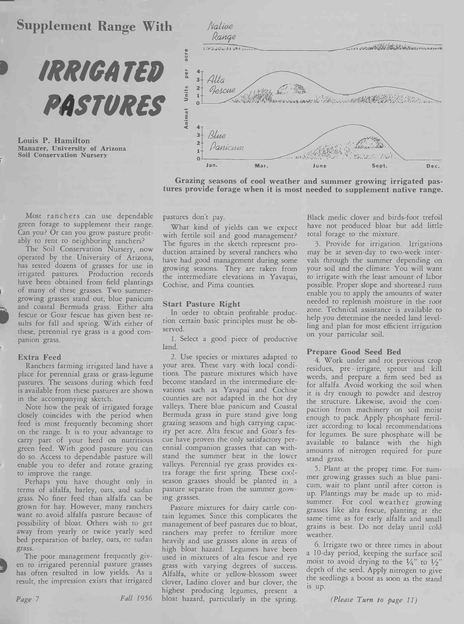# **Supplement Range With**



Louis P. Hamilton Manager, University of Arizona **Soil Conservation Nursery** 



Grazing seasons of cool weather and summer growing irrigated pastures provide forage when it is most needed to supplement native range.

Most ranchers can use dependable green forage to supplement their range. Can you? Or can you grow pasture profitably to rent to neighboring ranchers?

The Soil Conservation Nursery, now operated by the University of Arizona, has tested dozens of grasses for use in irrigated pastures. Production records have been obtained from field plantings of many of these grasses. Two summergrowing grasses stand out, blue panicum and coastal Bermuda grass. Either alta fescue or Goar fescue has given best results for fall and spring. With either of these, perennial rye grass is a good companion grass.

### **Extra Feed**

Ranchers farming irrigated land have a place for perennial grass or grass-legume pastures. The seasons during which feed is available from these pastures are shown in the accompanying sketch.

Note how the peak of irrigated forage closely coincides with the period when feed is most frequently becoming short on the range. It is to your advantage to carry part of your herd on nutritious green feed. With good pasture you can do so. Access to dependable pasture will enable you to defer and rotate grazing to improve the range.

Perhaps you have thought only in terms of alfalfa, barley, oats, and sudan grass. No finer feed than alfalfa can be grown for hay. However, many ranchers want to avoid alfalfa pasture because of possibility of bloat. Others wish to get away from yearly or twice yearly sced bed preparation of barley, oats, or sudan grass.

The poor management frequently given to irrigated perennial pasture grasses has often resulted in low yields. As a result, the impression exists that irrigated

Page 7

Fall 1956

pastures don't pay.

What kind of yields can we expect with fertile soil and good management? The figures in the sketch represent production attained by several ranchers who have had good management during some growing seasons. They are taken from the intermediate elevations in Yavapai, Cochise, and Pima counties.

#### **Start Pasture Right**

In order to obtain profitable production certain basic principles must be observed.

1. Select a good piece of productive land.

2. Use species or mixtures adapted to your area. These vary with local conditions. The pasture mixtures which have become standard in the intermediate elevations such as Yavapai and Cochise counties are not adapted in the hot dry valleys. There blue panicum and Coastal Bermuda grass in pure stand give long grazing seasons and high carrying capacity per acre. Alta fescue and Goar's fescue have proven the only satisfactory perennial companion grasses that can withstand the summer heat in the lower valleys. Perennial rye grass provides extra forage the first spring. These coolseason grasses should be planted in a pasture separate from the summer growing grasses.

Pasture mixtures for dairy cattle contain legumes. Since this complicates the management of beef pastures due to bloat, ranchers may prefer to fertilize more heavily and use grasses alone in areas of high bloat hazard. Legumes have been used in mixtures of alta fescue and rye grass with varying degrees of success. Alfalfa, white or yellow-blossom sweet clover, Ladino clover and bur clover, the highest producing legumes, present a bloat hazard, particularly in the spring.

Black medic clover and birds-foot trefoil have not produced bloat but add little total forage to the mixture.

3. Provide for irrigation. Irrigations may be at seven-day to two-week intervals through the summer depending on your soil and the climate. You will want to irrigate with the least amount of labor possible. Proper slope and shortened runs enable you to apply the amounts of water needed to replenish moisture in the root zone. Technical assistance is available to help you determine the needed land levelling and plan for most efficient irrigation on your particular soil.

#### **Prepare Good Seed Bed**

4. Work under and rot previous crop residues, pre-irrigate, sprout and kill weeds, and prepare a firm seed bed as for alfalfa. Avoid working the soil when it is dry enough to powder and destroy the structure. Likewise, avoid the compaction from machinery on soil moist enough to pack. Apply phosphate fertilizer according to local recommendations for legumes. Be sure phosphate will be available to balance with the high amounts of nitrogen required for pure stand grass.

5. Plant at the proper time. For summer growing grasses such as blue panicum, wait to plant until after cotton is up. Plantings may be made up to midsummer. For cool weather growing grasses like alta fescue, planting at the same time as for early alfalfa and small grains is best. Do not delay until cold weather.

6. Irrigate two or three times in about a 10-day period, keeping the surface soil moist to avoid drying to the  $\frac{1}{4}$ " to  $\frac{1}{2}$ " depth of the seed. Apply nitrogen to give the seedlings a boost as soon as the stand is up.

(Please Turn to page 11)